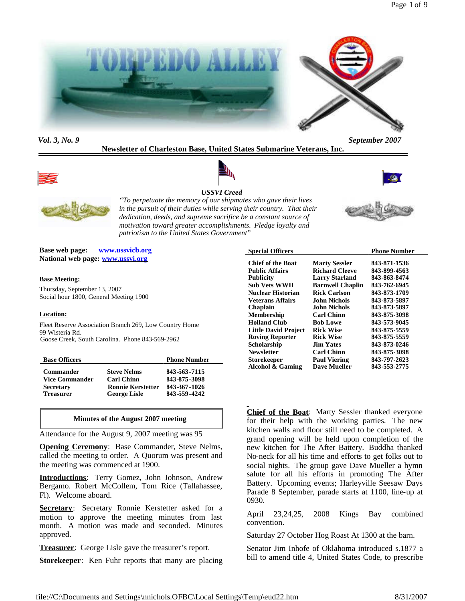

*Vol. 3, No. 9 September 2007*

**Newsletter of Charleston Base, United States Submarine Veterans, Inc.**





# *USSVI Creed*





*"To perpetuate the memory of our shipmates who gave their lives in the pursuit of their duties while serving their country. That their dedication, deeds, and supreme sacrifice be a constant source of motivation toward greater accomplishments. Pledge loyalty and patriotism to the United States Government"*

**Base web page: www.ussvicb.org National web page: www.ussvi.org**

#### **Base Meeting:**

Thursday, September 13, 2007 Social hour 1800, General Meeting 1900

#### **Location:**

Fleet Reserve Association Branch 269, Low Country Home 99 Wisteria Rd. Goose Creek, South Carolina. Phone 843-569-2962

| <b>Base Officers</b>  |                          | <b>Phone Number</b> |
|-----------------------|--------------------------|---------------------|
| <b>Commander</b>      | <b>Steve Nelms</b>       | 843-563-7115        |
| <b>Vice Commander</b> | <b>Carl Chinn</b>        | 843-875-3098        |
| <b>Secretary</b>      | <b>Ronnie Kerstetter</b> | 843-367-1026        |
| <b>Treasurer</b>      | <b>George Lisle</b>      | 843-559-4242        |

#### **Minutes of the August 2007 meeting**

Attendance for the August 9, 2007 meeting was 95

**Opening Ceremony**: Base Commander, Steve Nelms, called the meeting to order. A Quorum was present and the meeting was commenced at 1900.

**Introductions**: Terry Gomez, John Johnson, Andrew Bergamo. Robert McCollem, Tom Rice (Tallahassee, Fl). Welcome aboard.

**Secretary**: Secretary Ronnie Kerstetter asked for a motion to approve the meeting minutes from last month. A motion was made and seconded. Minutes approved.

**Treasurer**: George Lisle gave the treasurer's report.

**Storekeeper**: Ken Fuhr reports that many are placing

| <b>Special Officers</b>     |                         | <b>Phone Number</b> |
|-----------------------------|-------------------------|---------------------|
| <b>Chief of the Boat</b>    | <b>Marty Sessler</b>    | 843-871-1536        |
| <b>Public Affairs</b>       | <b>Richard Cleeve</b>   | 843-899-4563        |
| <b>Publicity</b>            | Larry Starland          | 843-863-8474        |
| <b>Sub Vets WWII</b>        | <b>Barnwell Chaplin</b> | 843-762-6945        |
| Nuclear Historian           | <b>Rick Carlson</b>     | 843-873-1709        |
| Veterans Affairs            | <b>John Nichols</b>     | 843-873-5897        |
| <b>Chaplain</b>             | John Nichols            | 843-873-5897        |
| <b>Membership</b>           | <b>Carl Chinn</b>       | 843-875-3098        |
| <b>Holland Club</b>         | <b>Bob Lowe</b>         | 843-573-9045        |
| <b>Little David Project</b> | Rick Wise               | 843-875-5559        |
| <b>Roving Reporter</b>      | Rick Wise               | 843-875-5559        |
| <b>Scholarship</b>          | <b>Jim Yates</b>        | 843-873-0246        |
| <b>Newsletter</b>           | Carl Chinn              | 843-875-3098        |
| <b>Storekeeper</b>          | <b>Paul Viering</b>     | 843-797-2623        |
| Alcohol & Gaming            | <b>Dave Mueller</b>     | 843-553-2775        |

**Chief of the Boat**: Marty Sessler thanked everyone for their help with the working parties. The new kitchen walls and floor still need to be completed. A grand opening will be held upon completion of the new kitchen for The After Battery. Buddha thanked No-neck for all his time and efforts to get folks out to social nights. The group gave Dave Mueller a hymn salute for all his efforts in promoting The After Battery. Upcoming events; Harleyville Seesaw Days Parade 8 September, parade starts at 1100, line-up at 0930.

April 23,24,25, 2008 Kings Bay combined convention.

Saturday 27 October Hog Roast At 1300 at the barn.

Senator Jim Inhofe of Oklahoma introduced s.1877 a bill to amend title 4, United States Code, to prescribe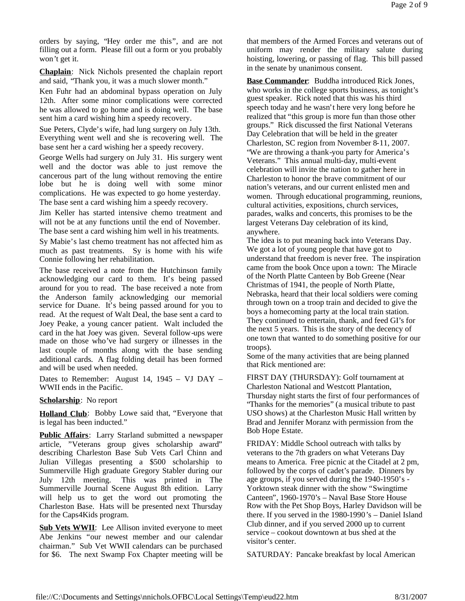orders by saying, "Hey order me this", and are not filling out a form. Please fill out a form or you probably won't get it.

**Chaplain**: Nick Nichols presented the chaplain report and said, "Thank you, it was a much slower month."

Ken Fuhr had an abdominal bypass operation on July 12th. After some minor complications were corrected he was allowed to go home and is doing well. The base sent him a card wishing him a speedy recovery.

Sue Peters, Clyde's wife, had lung surgery on July 13th. Everything went well and she is recovering well. The base sent her a card wishing her a speedy recovery.

George Wells had surgery on July 31. His surgery went well and the doctor was able to just remove the cancerous part of the lung without removing the entire lobe but he is doing well with some minor complications. He was expected to go home yesterday. The base sent a card wishing him a speedy recovery.

Jim Keller has started intensive chemo treatment and will not be at any functions until the end of November. The base sent a card wishing him well in his treatments.

Sy Mabie's last chemo treatment has not affected him as much as past treatments. Sy is home with his wife Connie following her rehabilitation.

The base received a note from the Hutchinson family acknowledging our card to them. It's being passed around for you to read. The base received a note from the Anderson family acknowledging our memorial service for Duane. It's being passed around for you to read. At the request of Walt Deal, the base sent a card to Joey Peake, a young cancer patient. Walt included the card in the hat Joey was given. Several follow-ups were made on those who've had surgery or illnesses in the last couple of months along with the base sending additional cards. A flag folding detail has been formed and will be used when needed.

Dates to Remember: August 14, 1945 – VJ DAY – WWII ends in the Pacific.

# **Scholarship**: No report

**Holland Club**: Bobby Lowe said that, "Everyone that is legal has been inducted."

**Public Affairs**: Larry Starland submitted a newspaper article, "Veterans group gives scholarship award" describing Charleston Base Sub Vets Carl Chinn and Julian Villegas presenting a \$500 scholarship to Summerville High graduate Gregory Stabler during our July 12th meeting. This was printed in The Summerville Journal Scene August 8th edition. Larry will help us to get the word out promoting the Charleston Base. Hats will be presented next Thursday for the Caps4Kids program.

**Sub Vets WWII**: Lee Allison invited everyone to meet Abe Jenkins "our newest member and our calendar chairman." Sub Vet WWII calendars can be purchased for \$6. The next Swamp Fox Chapter meeting will be

that members of the Armed Forces and veterans out of uniform may render the military salute during hoisting, lowering, or passing of flag. This bill passed in the senate by unanimous consent.

**Base Commander**: Buddha introduced Rick Jones, who works in the college sports business, as tonight's guest speaker. Rick noted that this was his third speech today and he wasn't here very long before he realized that "this group is more fun than those other groups." Rick discussed the first National Veterans Day Celebration that will be held in the greater Charleston, SC region from November 8-11, 2007. "We are throwing a thank-you party for America's Veterans." This annual multi-day, multi-event celebration will invite the nation to gather here in Charleston to honor the brave commitment of our nation's veterans, and our current enlisted men and women. Through educational programming, reunions, cultural activities, expositions, church services, parades, walks and concerts, this promises to be the largest Veterans Day celebration of its kind, anywhere.

The idea is to put meaning back into Veterans Day. We got a lot of young people that have got to understand that freedom is never free. The inspiration came from the book Once upon a town: The Miracle of the North Platte Canteen by Bob Greene (Near Christmas of 1941, the people of North Platte, Nebraska, heard that their local soldiers were coming through town on a troop train and decided to give the boys a homecoming party at the local train station. They continued to entertain, thank, and feed GI's for the next 5 years. This is the story of the decency of one town that wanted to do something positive for our troops).

Some of the many activities that are being planned that Rick mentioned are:

FIRST DAY (THURSDAY): Golf tournament at Charleston National and Westcott Plantation, Thursday night starts the first of four performances of "Thanks for the memories" (a musical tribute to past USO shows) at the Charleston Music Hall written by Brad and Jennifer Moranz with permission from the Bob Hope Estate.

FRIDAY: Middle School outreach with talks by veterans to the 7th graders on what Veterans Day means to America. Free picnic at the Citadel at 2 pm, followed by the corps of cadet's parade. Dinners by age groups, if you served during the 1940-1950's - Yorktown steak dinner with the show "Swingtime Canteen", 1960-1970's – Naval Base Store House Row with the Pet Shop Boys, Harley Davidson will be there. If you served in the 1980-1990's – Daniel Island Club dinner, and if you served 2000 up to current service – cookout downtown at bus shed at the visitor's center.

SATURDAY: Pancake breakfast by local American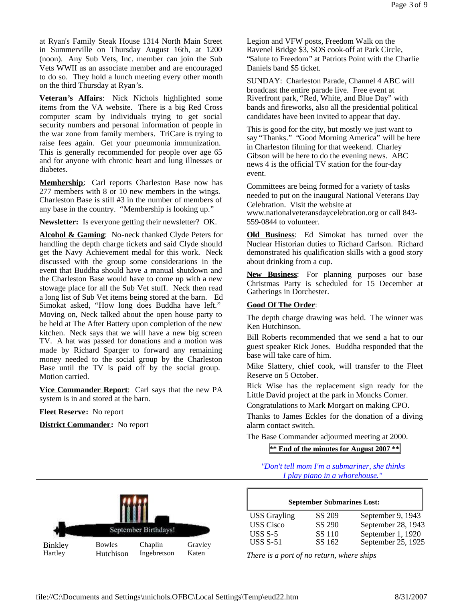at Ryan's Family Steak House 1314 North Main Street in Summerville on Thursday August 16th, at 1200 (noon). Any Sub Vets, Inc. member can join the Sub Vets WWII as an associate member and are encouraged to do so. They hold a lunch meeting every other month on the third Thursday at Ryan's.

**Veteran's Affairs**: Nick Nichols highlighted some items from the VA website. There is a big Red Cross computer scam by individuals trying to get social security numbers and personal information of people in the war zone from family members. TriCare is trying to raise fees again. Get your pneumonia immunization. This is generally recommended for people over age 65 and for anyone with chronic heart and lung illnesses or diabetes.

**Membership**: Carl reports Charleston Base now has 277 members with 8 or 10 new members in the wings. Charleston Base is still #3 in the number of members of any base in the country. "Membership is looking up."

**Newsletter:** Is everyone getting their newsletter? OK.

**Alcohol & Gaming**: No-neck thanked Clyde Peters for handling the depth charge tickets and said Clyde should get the Navy Achievement medal for this work. Neck discussed with the group some considerations in the event that Buddha should have a manual shutdown and the Charleston Base would have to come up with a new stowage place for all the Sub Vet stuff. Neck then read a long list of Sub Vet items being stored at the barn. Ed Simokat asked, "How long does Buddha have left." Moving on, Neck talked about the open house party to be held at The After Battery upon completion of the new kitchen. Neck says that we will have a new big screen TV. A hat was passed for donations and a motion was made by Richard Sparger to forward any remaining money needed to the social group by the Charleston Base until the TV is paid off by the social group. Motion carried.

**Vice Commander Report**: Carl says that the new PA system is in and stored at the barn.

# **Fleet Reserve:** No report

**District Commander:** No report

Legion and VFW posts, Freedom Walk on the Ravenel Bridge \$3, SOS cook-off at Park Circle, "Salute to Freedom" at Patriots Point with the Charlie Daniels band \$5 ticket.

SUNDAY: Charleston Parade, Channel 4 ABC will broadcast the entire parade live. Free event at Riverfront park, "Red, White, and Blue Day" with bands and fireworks, also all the presidential political candidates have been invited to appear that day.

This is good for the city, but mostly we just want to say "Thanks." "Good Morning America" will be here in Charleston filming for that weekend. Charley Gibson will be here to do the evening news. ABC news 4 is the official TV station for the four-day event.

Committees are being formed for a variety of tasks needed to put on the inaugural National Veterans Day Celebration. Visit the website at www.nationalveteransdaycelebration.org or call 843- 559-0844 to volunteer.

**Old Business**: Ed Simokat has turned over the Nuclear Historian duties to Richard Carlson. Richard demonstrated his qualification skills with a good story about drinking from a cup.

**New Business**: For planning purposes our base Christmas Party is scheduled for 15 December at Gatherings in Dorchester.

# **Good Of The Order**:

The depth charge drawing was held. The winner was Ken Hutchinson.

Bill Roberts recommended that we send a hat to our guest speaker Rick Jones. Buddha responded that the base will take care of him.

Mike Slattery, chief cook, will transfer to the Fleet Reserve on 5 October.

Rick Wise has the replacement sign ready for the Little David project at the park in Moncks Corner.

Congratulations to Mark Morgart on making CPO.

Thanks to James Eckles for the donation of a diving alarm contact switch.

The Base Commander adjourned meeting at 2000.

# **\*\* End of the minutes for August 2007 \*\***



*"Don't tell mom I'm a submariner, she thinks I play piano in a whorehouse."*

| <b>September Submarines Lost:</b> |        |                    |  |  |
|-----------------------------------|--------|--------------------|--|--|
| <b>USS Grayling</b>               | SS 209 | September 9, 1943  |  |  |
| <b>USS Cisco</b>                  | SS 290 | September 28, 1943 |  |  |
| USS $S-5$                         | SS 110 | September 1, 1920  |  |  |
| USS $S-51$                        | SS 162 | September 25, 1925 |  |  |

*There is a port of no return, where ships*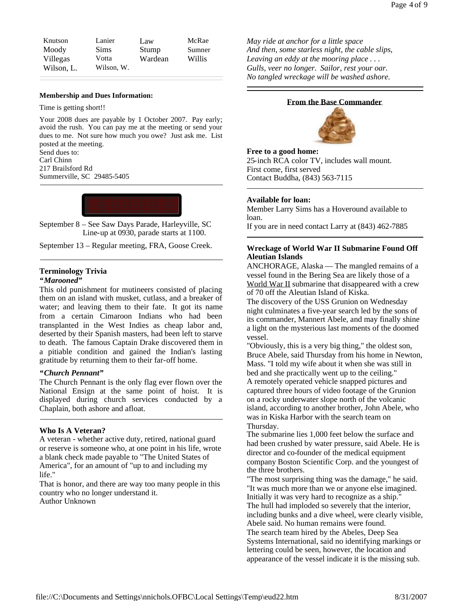| Knutson    | Lanier      | Law     | McRae  |
|------------|-------------|---------|--------|
| Moody      | <b>Sims</b> | Stump   | Sumner |
| Villegas   | Votta       | Wardean | Willis |
| Wilson, L. | Wilson, W.  |         |        |

#### **Membership and Dues Information:**

Time is getting short!!

Your 2008 dues are payable by 1 October 2007. Pay early; avoid the rush. You can pay me at the meeting or send your dues to me. Not sure how much you owe? Just ask me. List posted at the meeting. Send dues to: Carl Chinn 217 Brailsford Rd

Summerville, SC 29485-5405



September 8 – See Saw Days Parade, Harleyville, SC Line-up at 0930, parade starts at 1100.

September 13 – Regular meeting, FRA, Goose Creek.

# **Terminology Trivia**

# *"Marooned"*

This old punishment for mutineers consisted of placing them on an island with musket, cutlass, and a breaker of water; and leaving them to their fate. It got its name from a certain Cimaroon Indians who had been transplanted in the West Indies as cheap labor and, deserted by their Spanish masters, had been left to starve to death. The famous Captain Drake discovered them in a pitiable condition and gained the Indian's lasting gratitude by returning them to their far-off home.

#### *"Church Pennant"*

The Church Pennant is the only flag ever flown over the National Ensign at the same point of hoist. It is displayed during church services conducted by a Chaplain, both ashore and afloat.

#### **Who Is A Veteran?**

A veteran - whether active duty, retired, national guard or reserve is someone who, at one point in his life, wrote a blank check made payable to "The United States of America", for an amount of "up to and including my life."

That is honor, and there are way too many people in this country who no longer understand it. Author Unknown

*May ride at anchor for a little space And then, some starless night, the cable slips, Leaving an eddy at the mooring place . . . Gulls, veer no longer. Sailor, rest your oar. No tangled wreckage will be washed ashore.*

## **From the Base Commander**



## **Free to a good home:**

25-inch RCA color TV, includes wall mount. First come, first served Contact Buddha, (843) 563-7115

#### **Available for loan:**

Member Larry Sims has a Hoveround available to loan.

If you are in need contact Larry at (843) 462-7885

## **Wreckage of World War II Submarine Found Off Aleutian Islands**

ANCHORAGE, Alaska — The mangled remains of a vessel found in the Bering Sea are likely those of a World War II submarine that disappeared with a crew of 70 off the Aleutian Island of Kiska.

The discovery of the USS Grunion on Wednesday night culminates a five-year search led by the sons of its commander, Mannert Abele, and may finally shine a light on the mysterious last moments of the doomed vessel.

"Obviously, this is a very big thing," the oldest son, Bruce Abele, said Thursday from his home in Newton, Mass. "I told my wife about it when she was still in bed and she practically went up to the ceiling." A remotely operated vehicle snapped pictures and captured three hours of video footage of the Grunion on a rocky underwater slope north of the volcanic island, according to another brother, John Abele, who was in Kiska Harbor with the search team on Thursday.

The submarine lies 1,000 feet below the surface and had been crushed by water pressure, said Abele. He is director and co-founder of the medical equipment company Boston Scientific Corp. and the youngest of the three brothers.

"The most surprising thing was the damage," he said. "It was much more than we or anyone else imagined. Initially it was very hard to recognize as a ship." The hull had imploded so severely that the interior, including bunks and a dive wheel, were clearly visible, Abele said. No human remains were found. The search team hired by the Abeles, Deep Sea Systems International, said no identifying markings or lettering could be seen, however, the location and appearance of the vessel indicate it is the missing sub.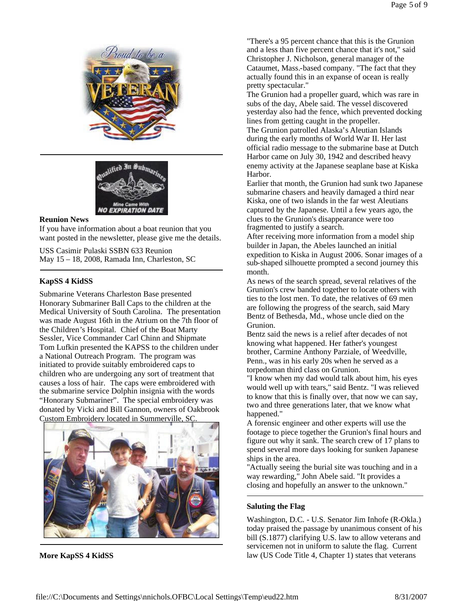



## **Reunion News**

If you have information about a boat reunion that you want posted in the newsletter, please give me the details.

USS Casimir Pulaski SSBN 633 Reunion May 15 – 18, 2008, Ramada Inn, Charleston, SC

# **KapSS 4 KidSS**

Submarine Veterans Charleston Base presented Honorary Submariner Ball Caps to the children at the Medical University of South Carolina. The presentation was made August 16th in the Atrium on the 7th floor of the Children's Hospital. Chief of the Boat Marty Sessler, Vice Commander Carl Chinn and Shipmate Tom Lufkin presented the KAPSS to the children under a National Outreach Program. The program was initiated to provide suitably embroidered caps to children who are undergoing any sort of treatment that causes a loss of hair. The caps were embroidered with the submarine service Dolphin insignia with the words "Honorary Submariner". The special embroidery was donated by Vicki and Bill Gannon, owners of Oakbrook Custom Embroidery located in Summerville, SC.



**More KapSS 4 KidSS**

"There's a 95 percent chance that this is the Grunion and a less than five percent chance that it's not," said Christopher J. Nicholson, general manager of the Cataumet, Mass.-based company. "The fact that they actually found this in an expanse of ocean is really pretty spectacular."

The Grunion had a propeller guard, which was rare in subs of the day, Abele said. The vessel discovered yesterday also had the fence, which prevented docking lines from getting caught in the propeller.

The Grunion patrolled Alaska's Aleutian Islands during the early months of World War II. Her last official radio message to the submarine base at Dutch Harbor came on July 30, 1942 and described heavy enemy activity at the Japanese seaplane base at Kiska Harbor.

Earlier that month, the Grunion had sunk two Japanese submarine chasers and heavily damaged a third near Kiska, one of two islands in the far west Aleutians captured by the Japanese. Until a few years ago, the clues to the Grunion's disappearance were too fragmented to justify a search.

After receiving more information from a model ship builder in Japan, the Abeles launched an initial expedition to Kiska in August 2006. Sonar images of a sub-shaped silhouette prompted a second journey this month.

As news of the search spread, several relatives of the Grunion's crew banded together to locate others with ties to the lost men. To date, the relatives of 69 men are following the progress of the search, said Mary Bentz of Bethesda, Md., whose uncle died on the Grunion.

Bentz said the news is a relief after decades of not knowing what happened. Her father's youngest brother, Carmine Anthony Parziale, of Weedville, Penn., was in his early 20s when he served as a torpedoman third class on Grunion.

"I know when my dad would talk about him, his eyes would well up with tears," said Bentz. "I was relieved to know that this is finally over, that now we can say, two and three generations later, that we know what happened."

A forensic engineer and other experts will use the footage to piece together the Grunion's final hours and figure out why it sank. The search crew of 17 plans to spend several more days looking for sunken Japanese ships in the area.

"Actually seeing the burial site was touching and in a way rewarding," John Abele said. "It provides a closing and hopefully an answer to the unknown."

# **Saluting the Flag**

Washington, D.C. - U.S. Senator Jim Inhofe (R-Okla.) today praised the passage by unanimous consent of his bill (S.1877) clarifying U.S. law to allow veterans and servicemen not in uniform to salute the flag. Current law (US Code Title 4, Chapter 1) states that veterans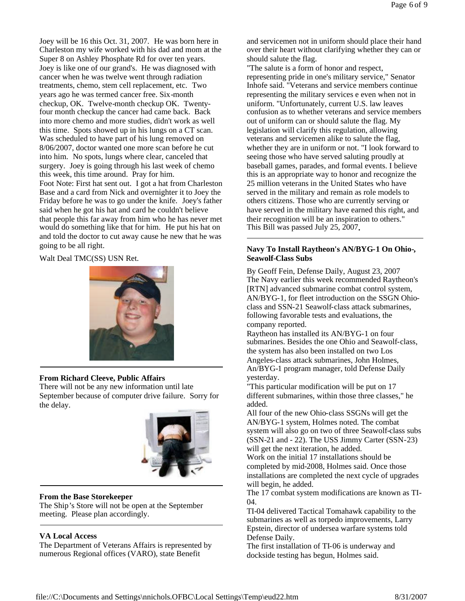Joey will be 16 this Oct. 31, 2007. He was born here in Charleston my wife worked with his dad and mom at the Super 8 on Ashley Phosphate Rd for over ten years. Joey is like one of our grand's. He was diagnosed with cancer when he was twelve went through radiation treatments, chemo, stem cell replacement, etc. Two years ago he was termed cancer free. Six-month checkup, OK. Twelve-month checkup OK. Twentyfour month checkup the cancer had came back. Back into more chemo and more studies, didn't work as well this time. Spots showed up in his lungs on a CT scan. Was scheduled to have part of his lung removed on 8/06/2007, doctor wanted one more scan before he cut into him. No spots, lungs where clear, canceled that surgery. Joey is going through his last week of chemo this week, this time around. Pray for him. Foot Note: First hat sent out. I got a hat from Charleston Base and a card from Nick and overnighter it to Joey the Friday before he was to go under the knife. Joey's father said when he got his hat and card he couldn't believe that people this far away from him who he has never met would do something like that for him. He put his hat on and told the doctor to cut away cause he new that he was going to be all right.

Walt Deal TMC(SS) USN Ret.



# **From Richard Cleeve, Public Affairs**

There will not be any new information until late September because of computer drive failure. Sorry for the delay.



# **From the Base Storekeeper**

The Ship's Store will not be open at the September meeting. Please plan accordingly.

# **VA Local Access**

The Department of Veterans Affairs is represented by numerous Regional offices (VARO), state Benefit

and servicemen not in uniform should place their hand over their heart without clarifying whether they can or should salute the flag.

"The salute is a form of honor and respect, representing pride in one's military service," Senator Inhofe said. "Veterans and service members continue representing the military services e even when not in uniform. "Unfortunately, current U.S. law leaves confusion as to whether veterans and service members out of uniform can or should salute the flag. My legislation will clarify this regulation, allowing veterans and servicemen alike to salute the flag, whether they are in uniform or not. "I look forward to seeing those who have served saluting proudly at baseball games, parades, and formal events. I believe this is an appropriate way to honor and recognize the 25 million veterans in the United States who have served in the military and remain as role models to others citizens. Those who are currently serving or have served in the military have earned this right, and their recognition will be an inspiration to others." This Bill was passed July 25, 2007**.**

# **Navy To Install Raytheon's AN/BYG-1 On Ohio-, Seawolf-Class Subs**

By Geoff Fein, Defense Daily, August 23, 2007 The Navy earlier this week recommended Raytheon's [RTN] advanced submarine combat control system, AN/BYG-1, for fleet introduction on the SSGN Ohioclass and SSN-21 Seawolf-class attack submarines, following favorable tests and evaluations, the company reported.

Raytheon has installed its AN/BYG-1 on four submarines. Besides the one Ohio and Seawolf-class, the system has also been installed on two Los Angeles-class attack submarines, John Holmes, An/BYG-1 program manager, told Defense Daily yesterday.

"This particular modification will be put on 17 different submarines, within those three classes," he added.

All four of the new Ohio-class SSGNs will get the AN/BYG-1 system, Holmes noted. The combat system will also go on two of three Seawolf-class subs (SSN-21 and - 22). The USS Jimmy Carter (SSN-23) will get the next iteration, he added.

Work on the initial 17 installations should be completed by mid-2008, Holmes said. Once those installations are completed the next cycle of upgrades will begin, he added.

The 17 combat system modifications are known as TI-04.

TI-04 delivered Tactical Tomahawk capability to the submarines as well as torpedo improvements, Larry Epstein, director of undersea warfare systems told Defense Daily.

The first installation of TI-06 is underway and dockside testing has begun, Holmes said.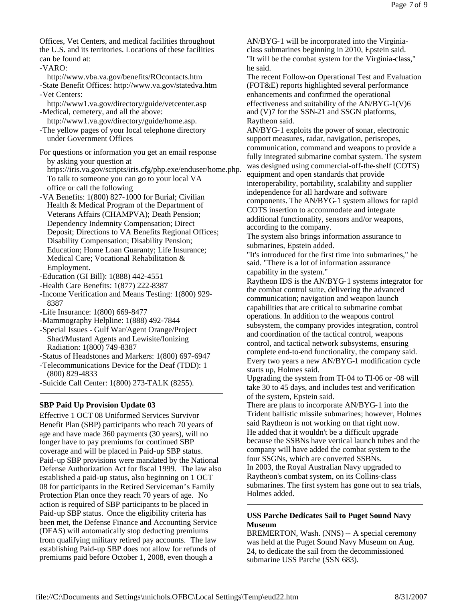Offices, Vet Centers, and medical facilities throughout the U.S. and its territories. Locations of these facilities can be found at:

-VARO:

http://www.vba.va.gov/benefits/ROcontacts.htm -State Benefit Offices: http://www.va.gov/statedva.htm -Vet Centers:

- http://www1.va.gov/directory/guide/vetcenter.asp -Medical, cemetery, and all the above:
- http://www1.va.gov/directory/guide/home.asp.
- -The yellow pages of your local telephone directory under Government Offices

For questions or information you get an email response by asking your question at https://iris.va.gov/scripts/iris.cfg/php.exe/enduser/home.php. To talk to someone you can go to your local VA office or call the following

- -VA Benefits: 1(800) 827-1000 for Burial; Civilian Health & Medical Program of the Department of Veterans Affairs (CHAMPVA); Death Pension; Dependency Indemnity Compensation; Direct Deposit; Directions to VA Benefits Regional Offices; Disability Compensation; Disability Pension; Education; Home Loan Guaranty; Life Insurance; Medical Care; Vocational Rehabilitation & Employment.
- -Education (GI Bill): 1(888) 442-4551
- -Health Care Benefits: 1(877) 222-8387
- -Income Verification and Means Testing: 1(800) 929- 8387
- -Life Insurance: 1(800) 669-8477
- -Mammography Helpline: 1(888) 492-7844
- -Special Issues Gulf War/Agent Orange/Project Shad/Mustard Agents and Lewisite/Ionizing Radiation: 1(800) 749-8387
- -Status of Headstones and Markers: 1(800) 697-6947
- -Telecommunications Device for the Deaf (TDD): 1 (800) 829-4833
- -Suicide Call Center: 1(800) 273-TALK (8255).

# **SBP Paid Up Provision Update 03**

Effective 1 OCT 08 Uniformed Services Survivor Benefit Plan (SBP) participants who reach 70 years of age and have made 360 payments (30 years), will no longer have to pay premiums for continued SBP coverage and will be placed in Paid-up SBP status. Paid-up SBP provisions were mandated by the National Defense Authorization Act for fiscal 1999. The law also established a paid-up status, also beginning on 1 OCT 08 for participants in the Retired Serviceman's Family Protection Plan once they reach 70 years of age. No action is required of SBP participants to be placed in Paid-up SBP status. Once the eligibility criteria has been met, the Defense Finance and Accounting Service (DFAS) will automatically stop deducting premiums from qualifying military retired pay accounts. The law establishing Paid-up SBP does not allow for refunds of premiums paid before October 1, 2008, even though a

AN/BYG-1 will be incorporated into the Virginiaclass submarines beginning in 2010, Epstein said. "It will be the combat system for the Virginia-class," he said.

The recent Follow-on Operational Test and Evaluation (FOT&E) reports highlighted several performance enhancements and confirmed the operational effectiveness and suitability of the AN/BYG-1(V)6 and (V)7 for the SSN-21 and SSGN platforms, Raytheon said.

AN/BYG-1 exploits the power of sonar, electronic support measures, radar, navigation, periscopes, communication, command and weapons to provide a fully integrated submarine combat system. The system was designed using commercial-off-the-shelf (COTS) equipment and open standards that provide interoperability, portability, scalability and supplier independence for all hardware and software components. The AN/BYG-1 system allows for rapid COTS insertion to accommodate and integrate additional functionality, sensors and/or weapons, according to the company.

The system also brings information assurance to submarines, Epstein added.

"It's introduced for the first time into submarines," he said. "There is a lot of information assurance capability in the system."

Raytheon IDS is the AN/BYG-1 systems integrator for the combat control suite, delivering the advanced communication; navigation and weapon launch capabilities that are critical to submarine combat operations. In addition to the weapons control subsystem, the company provides integration, control and coordination of the tactical control, weapons control, and tactical network subsystems, ensuring complete end-to-end functionality, the company said. Every two years a new AN/BYG-1 modification cycle starts up, Holmes said.

Upgrading the system from TI-04 to TI-06 or -08 will take 30 to 45 days, and includes test and verification of the system, Epstein said.

There are plans to incorporate AN/BYG-1 into the Trident ballistic missile submarines; however, Holmes said Raytheon is not working on that right now. He added that it wouldn't be a difficult upgrade because the SSBNs have vertical launch tubes and the company will have added the combat system to the four SSGNs, which are converted SSBNs. In 2003, the Royal Australian Navy upgraded to Raytheon's combat system, on its Collins-class submarines. The first system has gone out to sea trials, Holmes added.

# **USS Parche Dedicates Sail to Puget Sound Navy Museum**

BREMERTON, Wash. (NNS) -- A special ceremony was held at the Puget Sound Navy Museum on Aug. 24, to dedicate the sail from the decommissioned submarine USS Parche (SSN 683).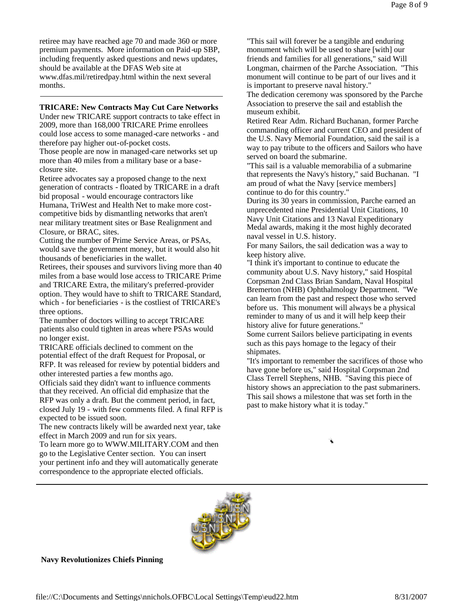retiree may have reached age 70 and made 360 or more premium payments. More information on Paid-up SBP, including frequently asked questions and news updates, should be available at the DFAS Web site at www.dfas.mil/retiredpay.html within the next several months.

#### **TRICARE: New Contracts May Cut Care Networks**

Under new TRICARE support contracts to take effect in 2009, more than 168,000 TRICARE Prime enrollees could lose access to some managed-care networks - and therefore pay higher out-of-pocket costs.

Those people are now in managed-care networks set up more than 40 miles from a military base or a baseclosure site.

Retiree advocates say a proposed change to the next generation of contracts - floated by TRICARE in a draft bid proposal - would encourage contractors like Humana, TriWest and Health Net to make more costcompetitive bids by dismantling networks that aren't near military treatment sites or Base Realignment and Closure, or BRAC, sites.

Cutting the number of Prime Service Areas, or PSAs, would save the government money, but it would also hit thousands of beneficiaries in the wallet.

Retirees, their spouses and survivors living more than 40 miles from a base would lose access to TRICARE Prime and TRICARE Extra, the military's preferred-provider option. They would have to shift to TRICARE Standard, which - for beneficiaries - is the costliest of TRICARE's three options.

The number of doctors willing to accept TRICARE patients also could tighten in areas where PSAs would no longer exist.

TRICARE officials declined to comment on the potential effect of the draft Request for Proposal, or RFP. It was released for review by potential bidders and other interested parties a few months ago.

Officials said they didn't want to influence comments that they received. An official did emphasize that the RFP was only a draft. But the comment period, in fact, closed July 19 - with few comments filed. A final RFP is expected to be issued soon.

The new contracts likely will be awarded next year, take effect in March 2009 and run for six years.

To learn more go to WWW.MILITARY.COM and then go to the Legislative Center section. You can insert your pertinent info and they will automatically generate correspondence to the appropriate elected officials.

"This sail will forever be a tangible and enduring monument which will be used to share [with] our friends and families for all generations," said Will Longman, chairmen of the Parche Association. "This monument will continue to be part of our lives and it is important to preserve naval history."

The dedication ceremony was sponsored by the Parche Association to preserve the sail and establish the museum exhibit.

Retired Rear Adm. Richard Buchanan, former Parche commanding officer and current CEO and president of the U.S. Navy Memorial Foundation, said the sail is a way to pay tribute to the officers and Sailors who have served on board the submarine.

"This sail is a valuable memorabilia of a submarine that represents the Navy's history," said Buchanan. "I am proud of what the Navy [service members] continue to do for this country."

During its 30 years in commission, Parche earned an unprecedented nine Presidential Unit Citations, 10 Navy Unit Citations and 13 Naval Expeditionary Medal awards, making it the most highly decorated naval vessel in U.S. history.

For many Sailors, the sail dedication was a way to keep history alive.

"I think it's important to continue to educate the community about U.S. Navy history," said Hospital Corpsman 2nd Class Brian Sandam, Naval Hospital Bremerton (NHB) Ophthalmology Department. "We can learn from the past and respect those who served before us. This monument will always be a physical reminder to many of us and it will help keep their history alive for future generations."

Some current Sailors believe participating in events such as this pays homage to the legacy of their shipmates.

"It's important to remember the sacrifices of those who have gone before us," said Hospital Corpsman 2nd Class Terrell Stephens, NHB. "Saving this piece of history shows an appreciation to the past submariners. This sail shows a milestone that was set forth in the past to make history what it is today."



**Navy Revolutionizes Chiefs Pinning**